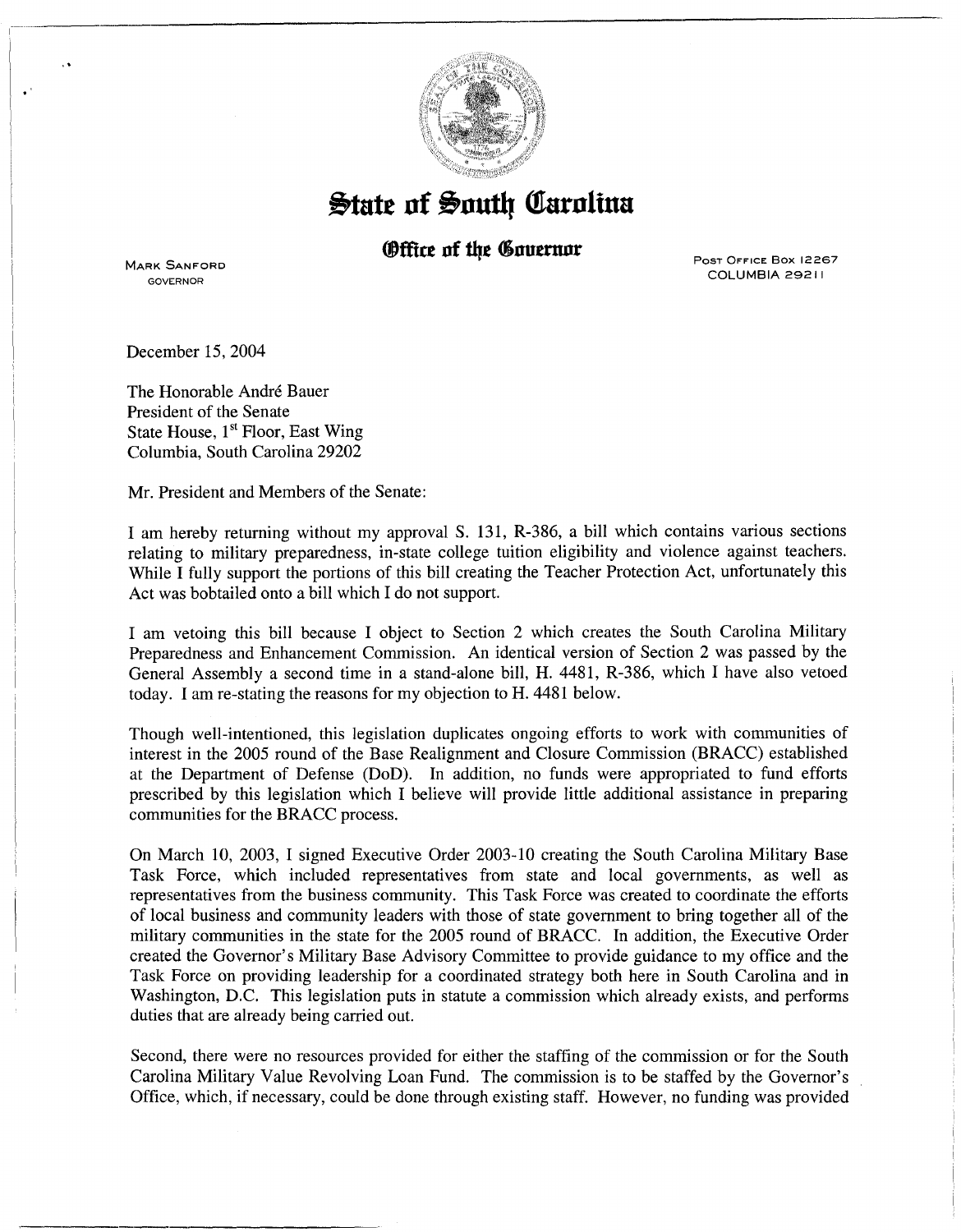

## **State of South Carolina**

## *®ffice of the Governor*

MARK SANFORD GOVERNOR

•'

Post Office Box 12267 COLUMBIA 29211

December 15, 2004

The Honorable André Bauer President of the Senate State House, 1<sup>st</sup> Floor, East Wing Columbia, South Carolina 29202

Mr. President and Members of the Senate:

I am hereby returning without my approval S. 131, R-386, a bill which contains various sections relating to military preparedness, in-state college tuition eligibility and violence against teachers. While I fully support the portions of this bill creating the Teacher Protection Act, unfortunately this Act was bobtailed onto a bill which I do not support.

I am vetoing this bill because I object to Section 2 which creates the South Carolina Military Preparedness and Enhancement Commission. An identical version of Section 2 was passed by the General Assembly a second time in a stand-alone bill, H. 4481, R-386, which I have also vetoed today. I am re-stating the reasons for my objection to H. 4481 below.

Though well-intentioned, this legislation duplicates ongoing efforts to work with communities of interest in the 2005 round of the Base Realignment and Closure Commission (BRACC) established at the Department of Defense (DoD). In addition, no funds were appropriated to fund efforts prescribed by this legislation which I believe will provide little additional assistance in preparing communities for the BRACC process.

On March 10, 2003, I signed Executive Order 2003-10 creating the South Carolina Military Base Task Force, which included representatives from state and local governments, as well as representatives from the business community. This Task Force was created to coordinate the efforts of local business and community leaders with those of state government to bring together all of the military communities in the state for the 2005 round of BRACC. In addition, the Executive Order created the Governor's Military Base Advisory Committee to provide guidance to my office and the Task Force on providing leadership for a coordinated strategy both here in South Carolina and in Washington, D.C. This legislation puts in statute a commission which already exists, and performs duties that are already being carried out.

Second, there were no resources provided for either the staffing of the commission or for the South Carolina Military Value Revolving Loan Fund. The commission is to be staffed by the Governor's Office, which, if necessary, could be done through existing staff. However, no funding was provided